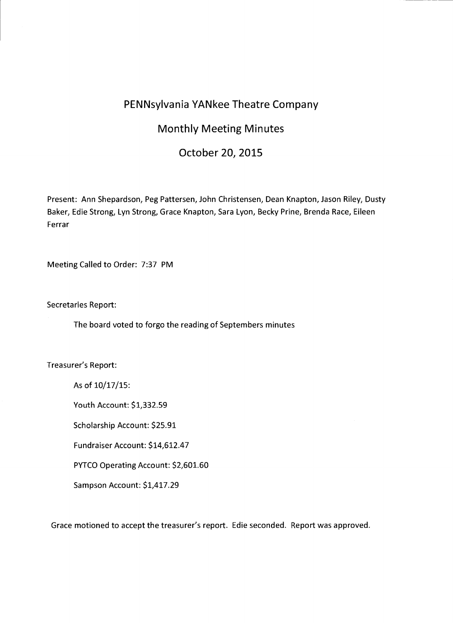## **PENNsylvania YANkee Theatre Company**

## **Monthly Meeting Minutes**

## **October 20, 2015**

Present: Ann Shepardson, Peg Pattersen, John Christensen, Dean Knapton, Jason Riley, Dusty Baker, Edie Strong, Lyn Strong, Grace Knapton, Sara Lyon, Becky Prine, Brenda Race, Eileen Ferrar

Meeting Called to Order: 7:37 PM

Secretaries Report:

The board voted to forgo the reading of Septembers minutes

Treasurer's Report:

As of 10/17/15:

Youth Account: \$1,332.59

Scholarship Account: \$25.91

Fundraiser Account: \$14,612.47

PYTCO Operating Account: \$2,601.60

Sampson Account: \$1,417.29

Grace motioned to accept the treasurer's report. Edie seconded. Report was approved.